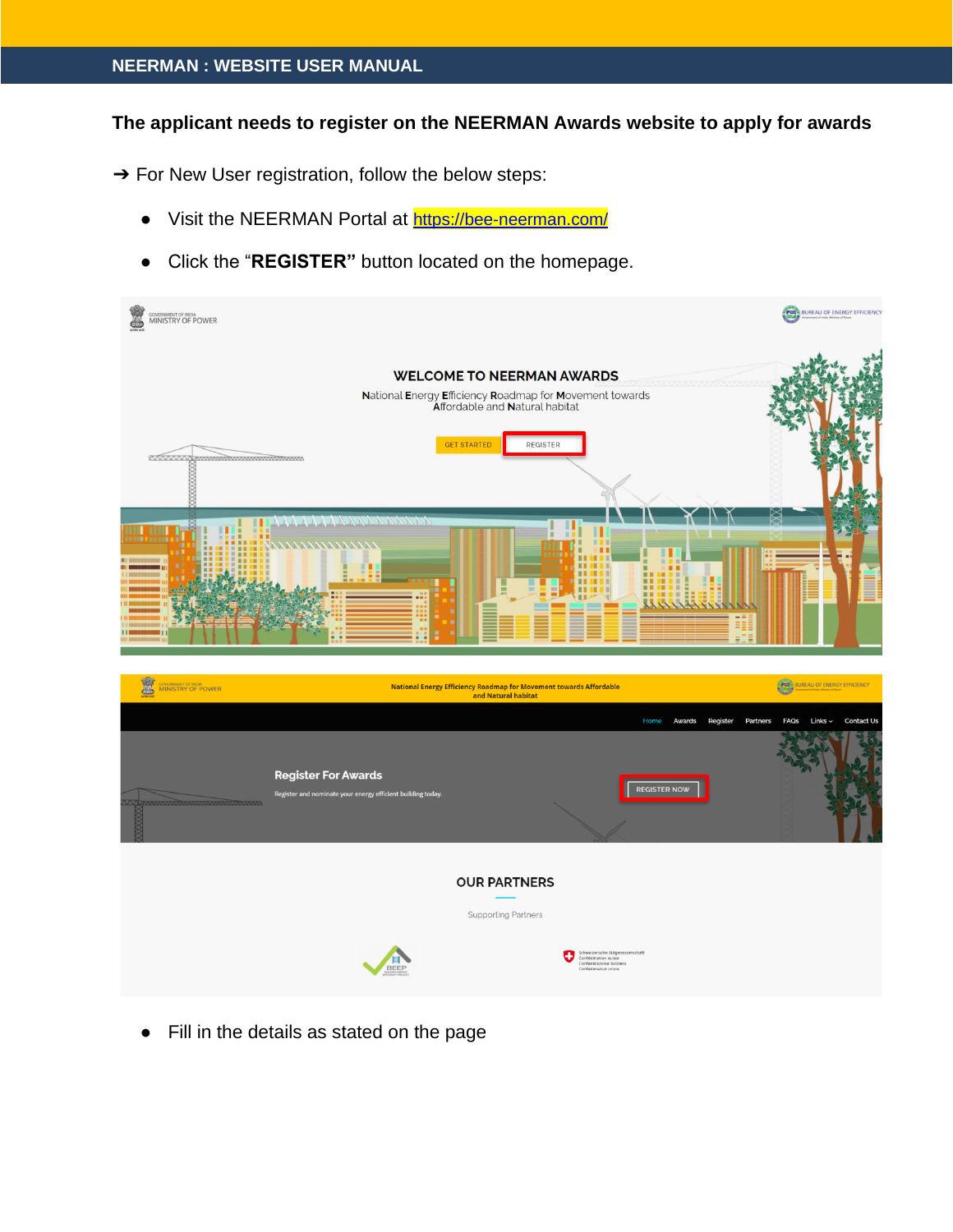## **The applicant needs to register on the NEERMAN Awards website to apply for awards**

→ For New User registration, follow the below steps:

- Visit the NEERMAN Portal at [https://bee-neerman.com/](https://www.google.com/url?q=https://bee-neerman.com/&sa=D&source=hangouts&ust=1626410585030000&usg=AFQjCNFGC9g6Ik8Ya4Hv6_oAwPO3FsfY9w)
- Click the "**REGISTER"** button located on the homepage.



● Fill in the details as stated on the page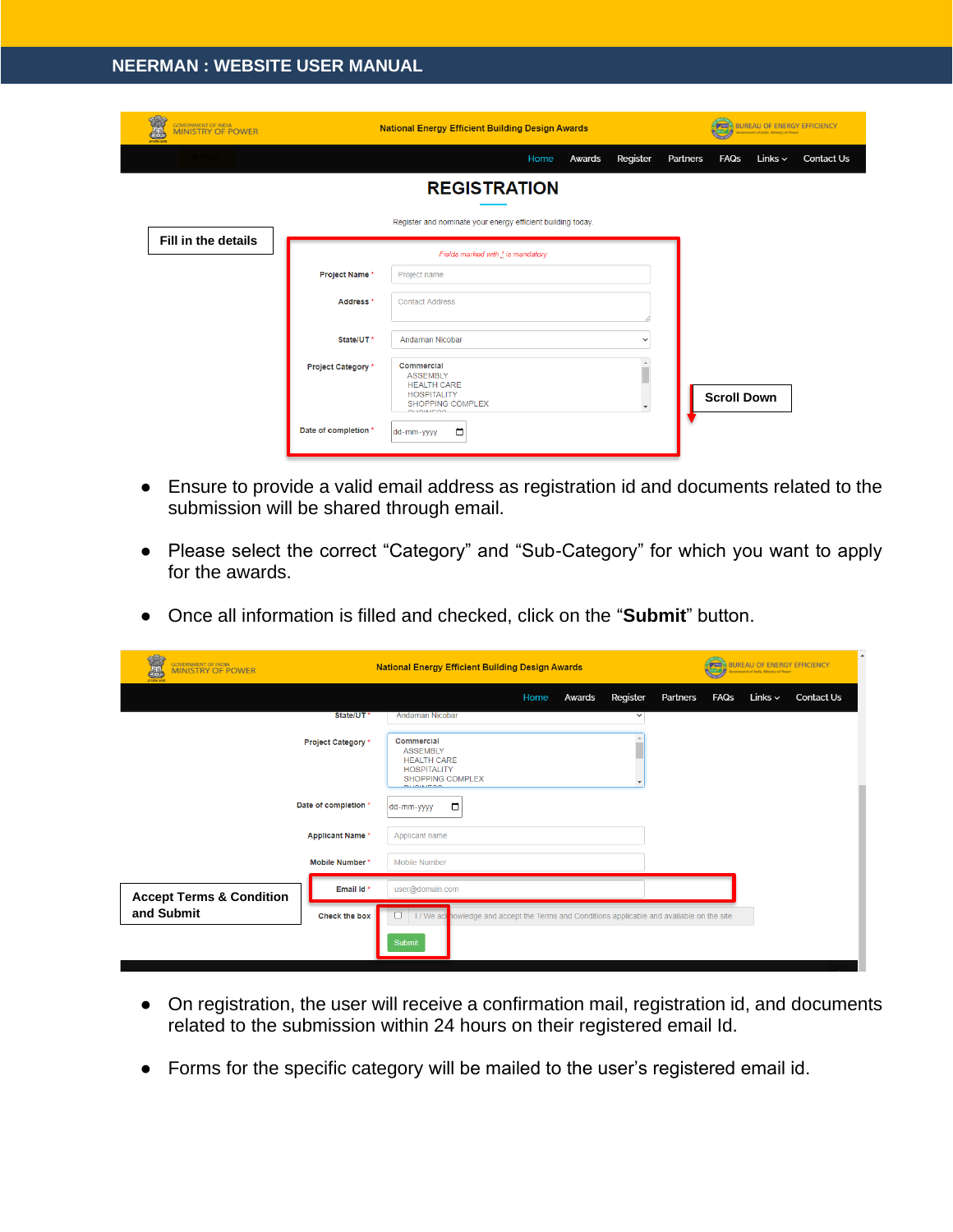| GOVERNMENT OF INDIA<br>MINISTRY OF POWER | <b>National Energy Efficient Building Design Awards</b> |                                                                                                                          |      |        | <b>EXIBIBILITY OF ENERGY EFFICIENCY</b><br><b>Sovernment of India, Ministry of Power</b> |          |                    |              |                   |
|------------------------------------------|---------------------------------------------------------|--------------------------------------------------------------------------------------------------------------------------|------|--------|------------------------------------------------------------------------------------------|----------|--------------------|--------------|-------------------|
|                                          |                                                         |                                                                                                                          | Home | Awards | Register                                                                                 | Partners | <b>FAQs</b>        | Links $\sim$ | <b>Contact Us</b> |
|                                          |                                                         | <b>REGISTRATION</b>                                                                                                      |      |        |                                                                                          |          |                    |              |                   |
|                                          |                                                         | Register and nominate your energy efficient building today.                                                              |      |        |                                                                                          |          |                    |              |                   |
| Fill in the details                      |                                                         | Fields marked with * is mandatory                                                                                        |      |        |                                                                                          |          |                    |              |                   |
|                                          | Project Name*                                           | Project name                                                                                                             |      |        |                                                                                          |          |                    |              |                   |
|                                          | Address <sup>*</sup>                                    | <b>Contact Address</b>                                                                                                   |      |        |                                                                                          |          |                    |              |                   |
|                                          | State/UT*                                               | Andaman Nicobar                                                                                                          |      |        | $\checkmark$                                                                             |          |                    |              |                   |
|                                          | Project Category *                                      | Commercial<br><b>ASSEMBLY</b><br><b>HEALTH CARE</b><br><b>HOSPITALITY</b><br><b>SHOPPING COMPLEX</b><br><b>DUOISICOO</b> |      |        |                                                                                          |          | <b>Scroll Down</b> |              |                   |
|                                          | Date of completion *                                    | □<br>dd-mm-yyyy                                                                                                          |      |        |                                                                                          |          |                    |              |                   |

- Ensure to provide a valid email address as registration id and documents related to the submission will be shared through email.
- Please select the correct "Category" and "Sub-Category" for which you want to apply for the awards.
- Once all information is filled and checked, click on the "**Submit**" button.

| 452<br>GOVERNMENT OF INDIA<br>MINISTRY OF POWER<br>细 | <b>National Energy Efficient Building Design Awards</b>                                                                 | <b>BUREAU OF ENERGY EFFICIENCY</b><br><b>PAID</b><br><b>Iovernment of India, Ministry of Pewer</b> |  |  |
|------------------------------------------------------|-------------------------------------------------------------------------------------------------------------------------|----------------------------------------------------------------------------------------------------|--|--|
|                                                      | Register<br>Home<br>Awards                                                                                              | Partners<br><b>FAQs</b><br>Links $\sim$<br><b>Contact Us</b>                                       |  |  |
| State/UT*                                            | <b>Andaman Nicobar</b><br>$\checkmark$                                                                                  |                                                                                                    |  |  |
| Project Category *                                   | Commercial<br><b>ASSEMBLY</b><br><b>HEALTH CARE</b><br><b>HOSPITALITY</b><br><b>SHOPPING COMPLEX</b><br><b>DUOLUTOO</b> |                                                                                                    |  |  |
| Date of completion *                                 | ▭<br>dd-mm-yyyy                                                                                                         |                                                                                                    |  |  |
| <b>Applicant Name*</b>                               | Applicant name                                                                                                          |                                                                                                    |  |  |
| Mobile Number*                                       | Mobile Number                                                                                                           |                                                                                                    |  |  |
| Email Id*<br><b>Accept Terms &amp; Condition</b>     | user@domain.com                                                                                                         |                                                                                                    |  |  |
| and Submit<br>Check the box                          | I / We ach nowledge and accept the Terms and Conditions applicable and available on the site                            |                                                                                                    |  |  |
|                                                      | Submit                                                                                                                  |                                                                                                    |  |  |

- On registration, the user will receive a confirmation mail, registration id, and documents related to the submission within 24 hours on their registered email Id.
- Forms for the specific category will be mailed to the user's registered email id.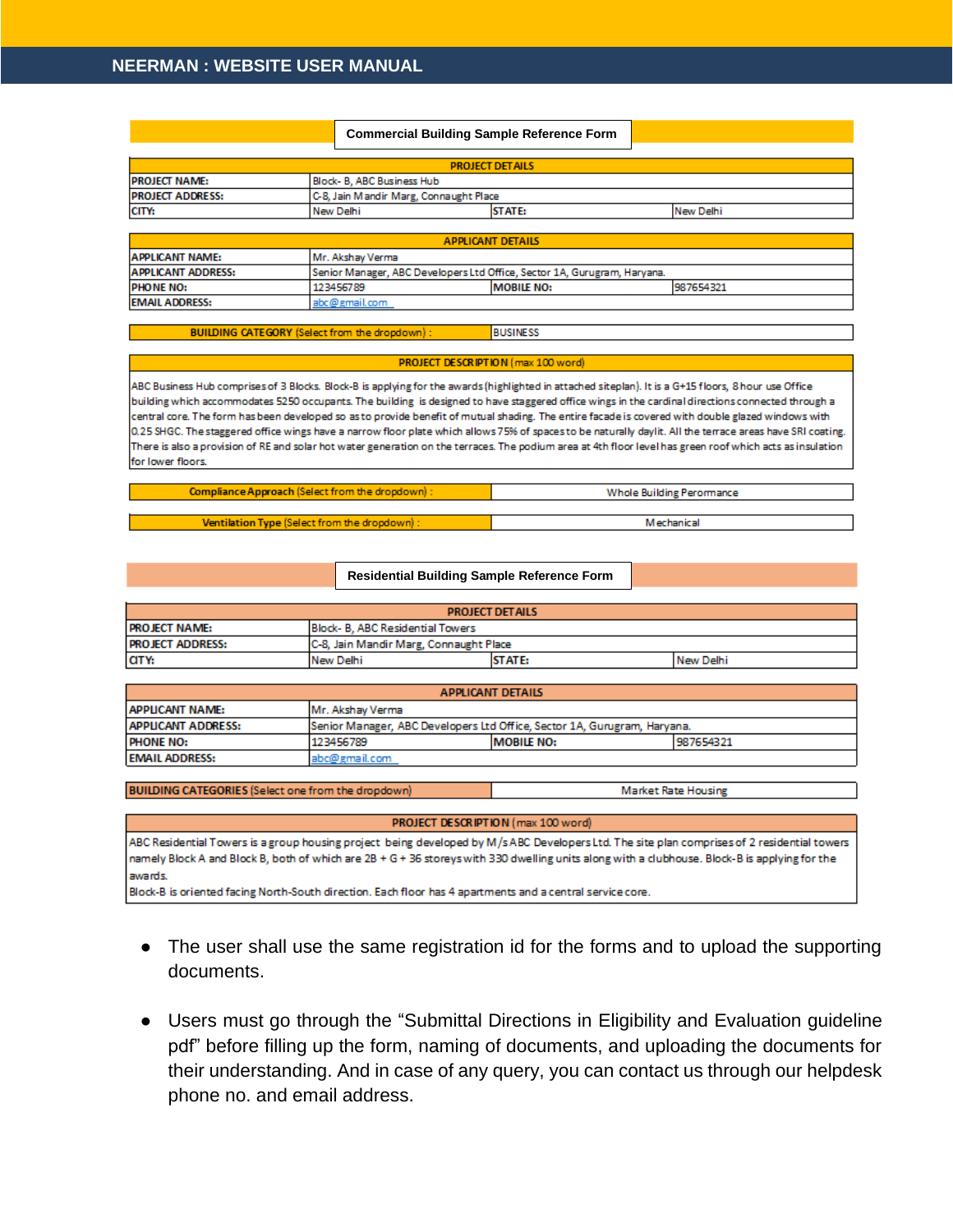|                          |                                                                         | <b>Commercial Building Sample Reference Form</b> |           |  |
|--------------------------|-------------------------------------------------------------------------|--------------------------------------------------|-----------|--|
|                          |                                                                         | <b>PROJECT DETAILS</b>                           |           |  |
| <b>PROJECT NAME:</b>     |                                                                         | Block- B, ABC Business Hub                       |           |  |
| <b>PROJECT ADDRESS:</b>  |                                                                         | C-8, Jain Mandir Marg, Connaught Place           |           |  |
| CITY:                    | New Delhi                                                               | <b>STATE:</b>                                    | New Delhi |  |
|                          |                                                                         |                                                  |           |  |
| <b>APPLICANT DETAILS</b> |                                                                         |                                                  |           |  |
| <b>APPLICANT NAME:</b>   | Mr. Akshay Verma                                                        |                                                  |           |  |
| ADDI ICANT ADDRESS.      | Senior Manager, ARC Developers Ltd Office, Sector 1A, Gurugram, Harvana |                                                  |           |  |

| <b>IAPPLICANT ADDRESS:</b> | TSenior Manager, ABC Developers Ltd Office, Sector 1A, Gurugram, Harvana, |                   |           |  |  |
|----------------------------|---------------------------------------------------------------------------|-------------------|-----------|--|--|
| <b>PHONE NO:</b>           | 123456789                                                                 | <b>MOBILE NO:</b> | 987654321 |  |  |
| <b>EMAIL ADDRESS:</b>      | abc@gmail.com                                                             |                   |           |  |  |
|                            |                                                                           |                   |           |  |  |

**BUILDING CATEGORY (Select from the dropdown) BUSINESS** 

## PROJECT DESCRIPTION (max 100 word)

ABC Business Hub comprises of 3 Blocks. Block-B is applying for the awards (highlighted in attached siteplan). It is a G+15 floors, 8 hour use Office building which accommodates 5250 occupants. The building is designed to have staggered office wings in the cardinal directions connected through a central core. The form has been developed so as to provide benefit of mutual shading. The entire facade is covered with double glazed windows with 0.25 SHGC. The staggered office wings have a narrow floor plate which allows 75% of spaces to be naturally daylit. All the terrace areas have SRI coating. There is also a provision of RE and solar hot water generation on the terraces. The podium area at 4th floor level has green roof which acts as insulation for lower floors.

| Compliance Approach (Select from the dropdown) : | Whole Building Perormance |  |
|--------------------------------------------------|---------------------------|--|
|                                                  |                           |  |
| Ventilation Type (Select from the dropdown):     | <b>Mechanical</b>         |  |

| Residential Building Sample Reference Form |  |  |
|--------------------------------------------|--|--|
|                                            |  |  |

| <b>PROJECT DETAILS</b>                                     |                                         |  |  |  |  |
|------------------------------------------------------------|-----------------------------------------|--|--|--|--|
| <b>I PROJECT NAME:</b><br>Block- B. ABC Residential Towers |                                         |  |  |  |  |
| <b>PROJECT ADDRESS:</b>                                    | C-8, Jain Mandir Marg, Connaught Place  |  |  |  |  |
| CITY:                                                      | <b>STATE:</b><br>New Delhi<br>New Delhi |  |  |  |  |

| <b>APPLICANT DETAILS</b>                   |                                                                          |  |  |  |  |
|--------------------------------------------|--------------------------------------------------------------------------|--|--|--|--|
| <b>APPLICANT NAME:</b><br>Mr. Akshav Verma |                                                                          |  |  |  |  |
| <b>APPLICANT ADDRESS:</b>                  | Senior Manager, ABC Developers Ltd Office, Sector 1A, Gurugram, Haryana. |  |  |  |  |
| <b>PHONE NO:</b>                           | 987654321<br>123456789<br><b>MOBILE NO:</b>                              |  |  |  |  |
| <b>EMAIL ADDRESS:</b>                      | abc@gmail.com                                                            |  |  |  |  |

BUILDING CATEGORIES (Select one from the dropdown)

**Market Rate Housing** 

PROJECT DESCRIPTION (max 100 word)

ABC Residential Towers is a group housing project being developed by M/sABC Developers Ltd. The site plan comprises of 2 residential towers namely Block A and Block B, both of which are 2B + G + 36 storeys with 330 dwelling units along with a clubhouse. Block-B is applying for the awards.

Block-B is oriented facing North-South direction. Each floor has 4 apartments and a central service core.

- The user shall use the same registration id for the forms and to upload the supporting documents.
- Users must go through the "Submittal Directions in Eligibility and Evaluation guideline pdf" before filling up the form, naming of documents, and uploading the documents for their understanding. And in case of any query, you can contact us through our helpdesk phone no. and email address.